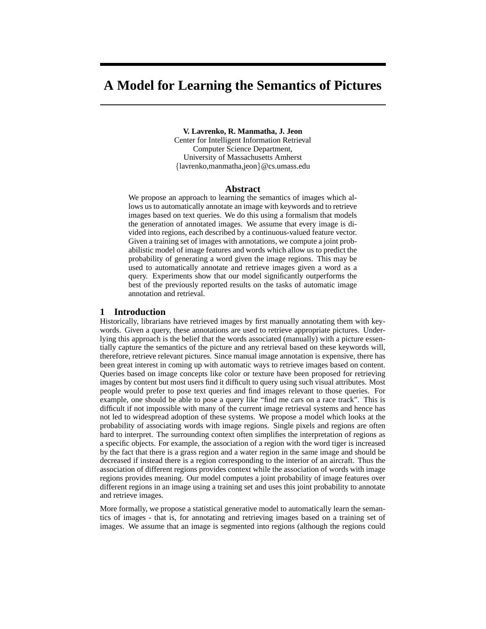# **A Model for Learning the Semantics of Pictures**

**V. Lavrenko, R. Manmatha, J. Jeon**

Center for Intelligent Information Retrieval Computer Science Department, University of Massachusetts Amherst {lavrenko,manmatha,jeon}@cs.umass.edu

## **Abstract**

We propose an approach to learning the semantics of images which allows us to automatically annotate an image with keywords and to retrieve images based on text queries. We do this using a formalism that models the generation of annotated images. We assume that every image is divided into regions, each described by a continuous-valued feature vector. Given a training set of images with annotations, we compute a joint probabilistic model of image features and words which allow us to predict the probability of generating a word given the image regions. This may be used to automatically annotate and retrieve images given a word as a query. Experiments show that our model significantly outperforms the best of the previously reported results on the tasks of automatic image annotation and retrieval.

### **1 Introduction**

Historically, librarians have retrieved images by first manually annotating them with keywords. Given a query, these annotations are used to retrieve appropriate pictures. Underlying this approach is the belief that the words associated (manually) with a picture essentially capture the semantics of the picture and any retrieval based on these keywords will, therefore, retrieve relevant pictures. Since manual image annotation is expensive, there has been great interest in coming up with automatic ways to retrieve images based on content. Queries based on image concepts like color or texture have been proposed for retrieving images by content but most users find it difficult to query using such visual attributes. Most people would prefer to pose text queries and find images relevant to those queries. For example, one should be able to pose a query like "find me cars on a race track". This is difficult if not impossible with many of the current image retrieval systems and hence has not led to widespread adoption of these systems. We propose a model which looks at the probability of associating words with image regions. Single pixels and regions are often hard to interpret. The surrounding context often simplifies the interpretation of regions as a specific objects. For example, the association of a region with the word tiger is increased by the fact that there is a grass region and a water region in the same image and should be decreased if instead there is a region corresponding to the interior of an aircraft. Thus the association of different regions provides context while the association of words with image regions provides meaning. Our model computes a joint probability of image features over different regions in an image using a training set and uses this joint probability to annotate and retrieve images.

More formally, we propose a statistical generative model to automatically learn the semantics of images - that is, for annotating and retrieving images based on a training set of images. We assume that an image is segmented into regions (although the regions could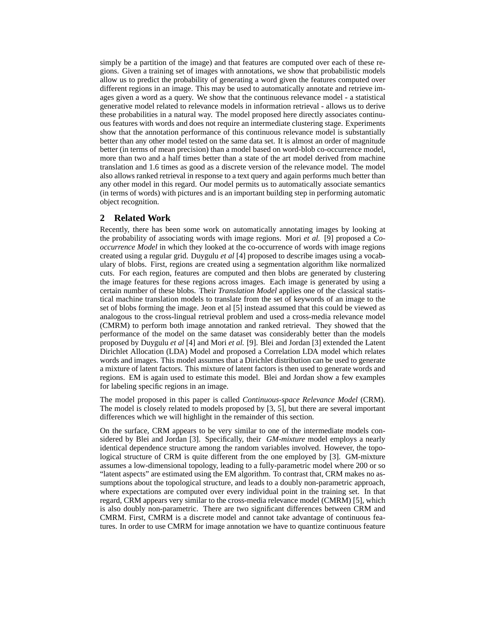simply be a partition of the image) and that features are computed over each of these regions. Given a training set of images with annotations, we show that probabilistic models allow us to predict the probability of generating a word given the features computed over different regions in an image. This may be used to automatically annotate and retrieve images given a word as a query. We show that the continuous relevance model - a statistical generative model related to relevance models in information retrieval - allows us to derive these probabilities in a natural way. The model proposed here directly associates continuous features with words and does not require an intermediate clustering stage. Experiments show that the annotation performance of this continuous relevance model is substantially better than any other model tested on the same data set. It is almost an order of magnitude better (in terms of mean precision) than a model based on word-blob co-occurrence model, more than two and a half times better than a state of the art model derived from machine translation and 1.6 times as good as a discrete version of the relevance model. The model also allows ranked retrieval in response to a text query and again performs much better than any other model in this regard. Our model permits us to automatically associate semantics (in terms of words) with pictures and is an important building step in performing automatic object recognition.

# **2 Related Work**

Recently, there has been some work on automatically annotating images by looking at the probability of associating words with image regions. Mori *et al.* [9] proposed a *Cooccurrence Model* in which they looked at the co-occurrence of words with image regions created using a regular grid. Duygulu *et al* [4] proposed to describe images using a vocabulary of blobs. First, regions are created using a segmentation algorithm like normalized cuts. For each region, features are computed and then blobs are generated by clustering the image features for these regions across images. Each image is generated by using a certain number of these blobs. Their *Translation Model* applies one of the classical statistical machine translation models to translate from the set of keywords of an image to the set of blobs forming the image. Jeon et al [5] instead assumed that this could be viewed as analogous to the cross-lingual retrieval problem and used a cross-media relevance model (CMRM) to perform both image annotation and ranked retrieval. They showed that the performance of the model on the same dataset was considerably better than the models proposed by Duygulu *et al* [4] and Mori *et al.* [9]. Blei and Jordan [3] extended the Latent Dirichlet Allocation (LDA) Model and proposed a Correlation LDA model which relates words and images. This model assumes that a Dirichlet distribution can be used to generate a mixture of latent factors. This mixture of latent factors is then used to generate words and regions. EM is again used to estimate this model. Blei and Jordan show a few examples for labeling specific regions in an image.

The model proposed in this paper is called *Continuous-space Relevance Model* (CRM). The model is closely related to models proposed by [3, 5], but there are several important differences which we will highlight in the remainder of this section.

On the surface, CRM appears to be very similar to one of the intermediate models considered by Blei and Jordan [3]. Specifically, their *GM-mixture* model employs a nearly identical dependence structure among the random variables involved. However, the topological structure of CRM is quite different from the one employed by [3]. GM-mixture assumes a low-dimensional topology, leading to a fully-parametric model where 200 or so "latent aspects" are estimated using the EM algorithm. To contrast that, CRM makes no assumptions about the topological structure, and leads to a doubly non-parametric approach, where expectations are computed over every individual point in the training set. In that regard, CRM appears very similar to the cross-media relevance model (CMRM) [5], which is also doubly non-parametric. There are two significant differences between CRM and CMRM. First, CMRM is a discrete model and cannot take advantage of continuous features. In order to use CMRM for image annotation we have to quantize continuous feature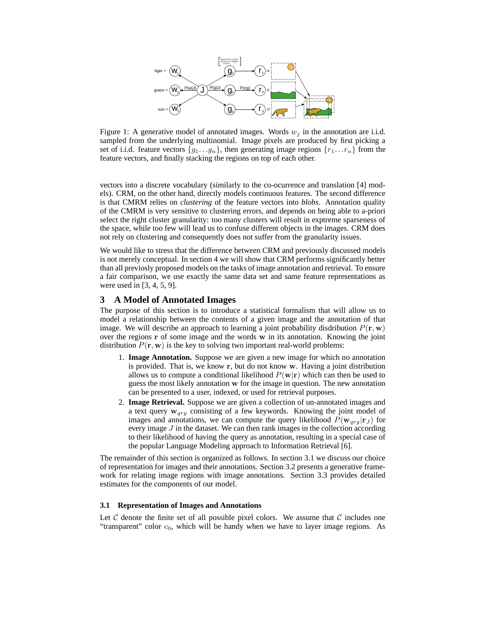

Figure 1: A generative model of annotated images. Words  $w_j$  in the annotation are i.i.d. sampled from the underlying multinomial. Image pixels are produced by first picking a set of i.i.d. feature vectors  $\{g_1 \ldots g_n\}$ , then generating image regions  $\{r_1 \ldots r_n\}$  from the feature vectors, and finally stacking the regions on top of each other.

vectors into a discrete vocabulary (similarly to the co-ocurrence and translation [4] models). CRM, on the other hand, directly models continuous features. The second difference is that CMRM relies on *clustering* of the feature vectors into *blobs*. Annotation quality of the CMRM is very sensitive to clustering errors, and depends on being able to a-priori select the right cluster granularity: too many clusters will result in exptreme sparseness of the space, while too few will lead us to confuse different objects in the images. CRM does not rely on clustering and consequently does not suffer from the granularity issues.

We would like to stress that the difference between CRM and previously discussed models is not merely conceptual. In section 4 we will show that CRM performs significantly better than all previosly proposed models on the tasks of image annotation and retrieval. To ensure a fair comparison, we use exactly the same data set and same feature representations as were used in [3, 4, 5, 9].

# **3 A Model of Annotated Images**

The purpose of this section is to introduce a statistical formalism that will allow us to model a relationship between the contents of a given image and the annotation of that image. We will describe an approach to learning a joint probability disdribution  $P(\mathbf{r}, \mathbf{w})$ over the regions r of some image and the words w in its annotation. Knowing the joint distribution  $P(\mathbf{r}, \mathbf{w})$  is the key to solving two important real-world problems:

- 1. **Image Annotation.** Suppose we are given a new image for which no annotation is provided. That is, we know r, but do not know w. Having a joint distribution allows us to compute a conditional likelihood  $P(\mathbf{w}|\mathbf{r})$  which can then be used to guess the most likely annotation w for the image in question. The new annotation can be presented to a user, indexed, or used for retrieval purposes.
- 2. **Image Retrieval.** Suppose we are given a collection of un-annotated images and a text query  $w_{\text{grav}}$  consisting of a few keywords. Knowing the joint model of images and annotations, we can compute the query likelihood  $P(\mathbf{w}_{qry}|\mathbf{r}_J)$  for every image J in the dataset. We can then rank images in the collection according to their likelihood of having the query as annotation, resulting in a special case of the popular Language Modeling approach to Information Retrieval [6].

The remainder of this section is organized as follows. In section 3.1 we discuss our choice of representation for images and their annotations. Section 3.2 presents a generative framework for relating image regions with image annotations. Section 3.3 provides detailed estimates for the components of our model.

## **3.1 Representation of Images and Annotations**

Let C denote the finite set of all possible pixel colors. We assume that C includes one "transparent" color  $c_0$ , which will be handy when we have to layer image regions. As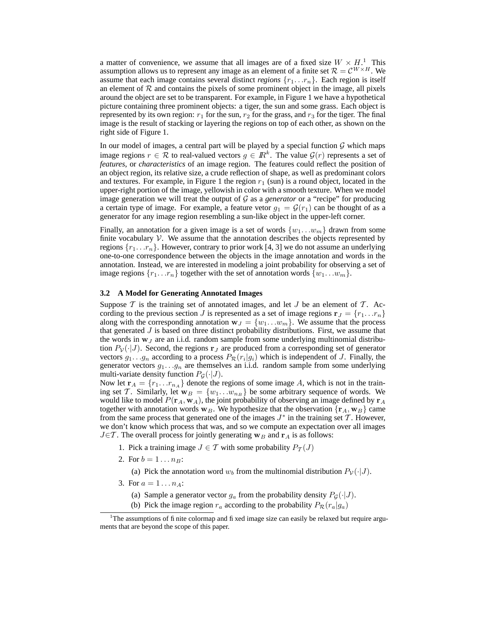a matter of convenience, we assume that all images are of a fixed size  $W \times H$ .<sup>1</sup> This assumption allows us to represent any image as an element of a finite set  $\mathcal{R} = \mathcal{C}^{W \times H}$ . We assume that each image contains several distinct *regions*  $\{r_1 \dots r_n\}$ . Each region is itself an element of  $R$  and contains the pixels of some prominent object in the image, all pixels around the object are set to be transparent. For example, in Figure 1 we have a hypothetical picture containing three prominent objects: a tiger, the sun and some grass. Each object is represented by its own region:  $r_1$  for the sun,  $r_2$  for the grass, and  $r_3$  for the tiger. The final image is the result of stacking or layering the regions on top of each other, as shown on the right side of Figure 1.

In our model of images, a central part will be played by a special function  $G$  which maps image regions  $r \in \mathcal{R}$  to real-valued vectors  $g \in \mathbb{R}^k$ . The value  $\mathcal{G}(r)$  represents a set of *features*, or *characteristics* of an image region. The features could reflect the position of an object region, its relative size, a crude reflection of shape, as well as predominant colors and textures. For example, in Figure 1 the region  $r_1$  (sun) is a round object, located in the upper-right portion of the image, yellowish in color with a smooth texture. When we model image generation we will treat the output of G as a *generator* or a "recipe" for producing a certain type of image. For example, a feature vetor  $g_1 = \mathcal{G}(r_1)$  can be thought of as a generator for any image region resembling a sun-like object in the upper-left corner.

Finally, an annotation for a given image is a set of words  $\{w_1...w_m\}$  drawn from some finite vocabulary  $\mathcal V$ . We assume that the annotation describes the objects represented by regions  $\{r_1 \ldots r_n\}$ . However, contrary to prior work [4, 3] we do not assume an underlying one-to-one correspondence between the objects in the image annotation and words in the annotation. Instead, we are interested in modeling a joint probability for observing a set of image regions  $\{r_1 \dots r_n\}$  together with the set of annotation words  $\{w_1 \dots w_m\}$ .

## **3.2 A Model for Generating Annotated Images**

Suppose  $\mathcal T$  is the training set of annotated images, and let  $J$  be an element of  $\mathcal T$ . According to the previous section J is represented as a set of image regions  $\mathbf{r}_J = \{r_1 \dots r_n\}$ along with the corresponding annotation  $w_J = \{w_1 \dots w_m\}$ . We assume that the process that generated  $J$  is based on three distinct probability distributions. First, we assume that the words in  $w_j$  are an i.i.d. random sample from some underlying multinomial distribution  $P_V(\cdot|J)$ . Second, the regions  $r_J$  are produced from a corresponding set of generator vectors  $g_1 \dots g_n$  according to a process  $P_{\mathcal{R}}(r_i|g_i)$  which is independent of J. Finally, the generator vectors  $g_1 \ldots g_n$  are themselves an i.i.d. random sample from some underlying multi-variate density function  $P_G(\cdot|J)$ .

Now let  $\mathbf{r}_A = \{r_1 \dots r_{n_A}\}\$ denote the regions of some image A, which is not in the training set T. Similarly, let  $w_B = \{w_1 \dots w_{n_B}\}\$ be some arbitrary sequence of words. We would like to model  $P(\mathbf{r}_A, \mathbf{w}_A)$ , the joint probability of observing an image defined by  $\mathbf{r}_A$ together with annotation words  $w_B$ . We hypothesize that the observation  $\{r_A, w_B\}$  came from the same process that generated one of the images  $J^*$  in the training set  $\widetilde{T}$ . However, we don't know which process that was, and so we compute an expectation over all images  $J \in \mathcal{T}$ . The overall process for jointly generating  $w_B$  and  $r_A$  is as follows:

- 1. Pick a training image  $J \in \mathcal{T}$  with some probability  $P_{\mathcal{T}}(J)$
- 2. For  $b = 1 \dots n_B$ :
	- (a) Pick the annotation word  $w_b$  from the multinomial distribution  $P_V(\cdot|J)$ .
- 3. For  $a = 1...n_A$ :
	- (a) Sample a generator vector  $g_a$  from the probability density  $P_G(\cdot|J)$ .
	- (b) Pick the image region  $r_a$  according to the probability  $P_{\mathcal{R}}(r_a|g_a)$

<sup>&</sup>lt;sup>1</sup>The assumptions of finite colormap and fixed image size can easily be relaxed but require arguments that are beyond the scope of this paper.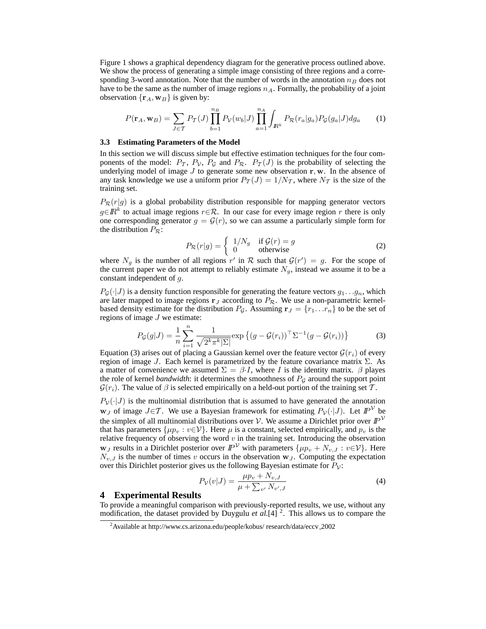Figure 1 shows a graphical dependency diagram for the generative process outlined above. We show the process of generating a simple image consisting of three regions and a corresponding 3-word annotation. Note that the number of words in the annotation  $n_B$  does not have to be the same as the number of image regions  $n_A$ . Formally, the probability of a joint observation  $\{r_A, w_B\}$  is given by:

$$
P(\mathbf{r}_A, \mathbf{w}_B) = \sum_{J \in \mathcal{T}} P_{\mathcal{T}}(J) \prod_{b=1}^{n_B} P_{\mathcal{V}}(w_b | J) \prod_{a=1}^{n_A} \int_{\mathbb{R}^k} P_{\mathcal{R}}(r_a | g_a) P_{\mathcal{G}}(g_a | J) dg_a \tag{1}
$$

#### **3.3 Estimating Parameters of the Model**

In this section we will discuss simple but effective estimation techniques for the four components of the model:  $P_T$ ,  $P_V$ ,  $P_G$  and  $P_R$ .  $P_T(J)$  is the probability of selecting the underlying model of image  $J$  to generate some new observation  $r, w$ . In the absence of any task knowledge we use a uniform prior  $P_{\mathcal{T}}(J) = 1/N_{\mathcal{T}}$ , where  $N_{\mathcal{T}}$  is the size of the training set.

 $P_{\mathcal{R}}(r|g)$  is a global probability distribution responsible for mapping generator vectors  $g \in \mathbb{R}^k$  to actual image regions  $r \in \mathcal{R}$ . In our case for every image region r there is only one corresponding generator  $g = \mathcal{G}(r)$ , so we can assume a particularly simple form for the distribution  $P_{\mathcal{R}}$ :

$$
P_{\mathcal{R}}(r|g) = \begin{cases} 1/N_g & \text{if } \mathcal{G}(r) = g \\ 0 & \text{otherwise} \end{cases}
$$
 (2)

where  $N_g$  is the number of all regions r' in R such that  $\mathcal{G}(r') = g$ . For the scope of the current paper we do not attempt to reliably estimate  $N_g$ , instead we assume it to be a constant independent of g.

 $P_G(\cdot|J)$  is a density function responsible for generating the feature vectors  $g_1 \dots g_n$ , which are later mapped to image regions  $r_J$  according to  $P_R$ . We use a non-parametric kernelbased density estimate for the distribution  $P_{\mathcal{G}}$ . Assuming  $\mathbf{r}_J = \{r_1 \dots r_n\}$  to be the set of regions of image  $J$  we estimate:

$$
P_{\mathcal{G}}(g|J) = \frac{1}{n} \sum_{i=1}^{n} \frac{1}{\sqrt{2^k \pi^k |\Sigma|}} \exp\left\{ (g - \mathcal{G}(r_i))^{\top} \Sigma^{-1} (g - \mathcal{G}(r_i)) \right\}
$$
(3)

Equation (3) arises out of placing a Gaussian kernel over the feature vector  $\mathcal{G}(r_i)$  of every region of image J. Each kernel is parametrized by the feature covariance matrix  $\Sigma$ . As a matter of convenience we assumed  $\Sigma = \beta I$ , where I is the identity matrix.  $\beta$  playes the role of kernel *bandwidth*: it determines the smoothness of  $P_G$  around the support point  $\mathcal{G}(r_i)$ . The value of  $\beta$  is selected empirically on a held-out portion of the training set T.

 $P_V(\cdot|J)$  is the multinomial distribution that is assumed to have generated the annotation  $w_J$  of image  $J \in \mathcal{T}$ . We use a Bayesian framework for estimating  $P_V(\cdot|J)$ . Let  $\mathbb{P}^{\mathcal{V}}$  be the simplex of all multinomial distributions over V. We assume a Dirichlet prior over  $\mathbb{P}^{\mathcal{V}}$ that has parameters  $\{\mu p_v : v \in \mathcal{V}\}\.$  Here  $\mu$  is a constant, selected empirically, and  $p_v$  is the relative frequency of observing the word  $v$  in the training set. Introducing the observation  $w_J$  results in a Dirichlet posterior over  $\mathbb{P}^{\mathcal{V}}$  with parameters  $\{\mu p_v + N_{v,J} : v \in \mathcal{V}\}\)$ . Here  $N_{v,J}$  is the number of times v occurs in the observation  $w_J$ . Computing the expectation over this Dirichlet posterior gives us the following Bayesian estimate for  $P_V$ :

$$
P_V(v|J) = \frac{\mu p_v + N_{v,J}}{\mu + \sum_{v'} N_{v',J}}\tag{4}
$$

## **4 Experimental Results**

To provide a meaningful comparison with previously-reported results, we use, without any modification, the dataset provided by Duygulu *et al.*[4]<sup>2</sup>. This allows us to compare the

<sup>&</sup>lt;sup>2</sup>Available at http://www.cs.arizona.edu/people/kobus/ research/data/eccv\_2002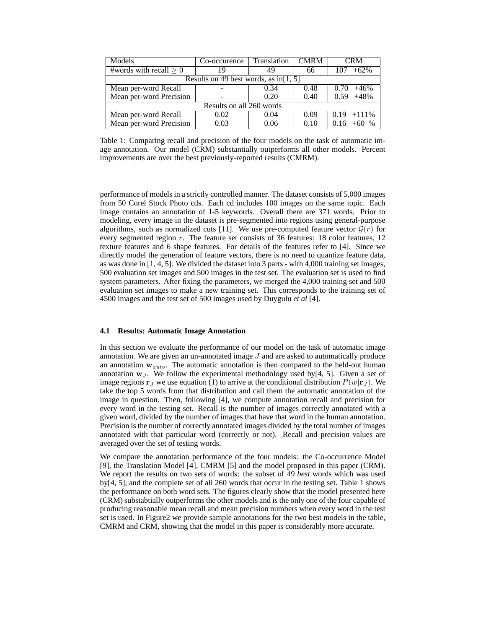| Models                                 | Co-occurence | Translation  | <b>CMRM</b> | <b>CRM</b>     |  |  |  |
|----------------------------------------|--------------|--------------|-------------|----------------|--|--|--|
| #words with recall $\geq 0$            | 19           | 49           | 66          | $+62%$<br>107  |  |  |  |
| Results on 49 best words, as in [1, 5] |              |              |             |                |  |  |  |
| Mean per-word Recall                   |              | 0.34         | 0.48        | $+46%$<br>0.70 |  |  |  |
| Mean per-word Precision                |              | 0.40<br>0.20 |             | $+48%$<br>0.59 |  |  |  |
| Results on all 260 words               |              |              |             |                |  |  |  |
| Mean per-word Recall<br>0.02           |              | 0.04         | 0.09        | $0.19 + 111\%$ |  |  |  |
| Mean per-word Precision<br>0.03        |              | 0.06         | 0.10        | $0.16 + 60 %$  |  |  |  |

Table 1: Comparing recall and precision of the four models on the task of automatic image annotation. Our model (CRM) substantially outperforms all other models. Percent improvements are over the best previously-reported results (CMRM).

performance of models in a strictly controlled manner. The dataset consists of 5,000 images from 50 Corel Stock Photo cds. Each cd includes 100 images on the same topic. Each image contains an annotation of 1-5 keywords. Overall there are 371 words. Prior to modeling, every image in the dataset is pre-segmented into regions using general-purpose algorithms, such as normalized cuts [11]. We use pre-computed feature vector  $\mathcal{G}(r)$  for every segmented region r. The feature set consists of 36 features: 18 color features, 12 texture features and 6 shape features. For details of the features refer to [4]. Since we directly model the generation of feature vectors, there is no need to quantize feature data, as was done in [1, 4, 5]. We divided the dataset into 3 parts - with 4,000 training set images, 500 evaluation set images and 500 images in the test set. The evaluation set is used to find system parameters. After fixing the parameters, we merged the 4,000 training set and 500 evaluation set images to make a new training set. This corresponds to the training set of 4500 images and the test set of 500 images used by Duygulu *et al* [4].

## **4.1 Results: Automatic Image Annotation**

In this section we evaluate the performance of our model on the task of automatic image annotation. We are given an un-annotated image  $J$  and are asked to automatically produce an annotation  $w_{auto}$ . The automatic annotation is then compared to the held-out human annotation  $w_J$ . We follow the experimental methodology used by[4, 5]. Given a set of image regions  $\mathbf{r}_J$  we use equation (1) to arrive at the conditional distribution  $P(w|\mathbf{r}_J)$ . We take the top 5 words from that distribution and call them the automatic annotation of the image in question. Then, following [4], we compute annotation recall and precision for every word in the testing set. Recall is the number of images correctly annotated with a given word, divided by the number of images that have that word in the human annotation. Precision is the number of correctly annotated images divided by the total number of images annotated with that particular word (correctly or not). Recall and precision values are averaged over the set of testing words.

We compare the annotation performance of the four models: the Co-occurrence Model [9], the Translation Model [4], CMRM [5] and the model proposed in this paper (CRM). We report the results on two sets of words: the subset of *49 best* words which was used by[4, 5], and the complete set of all 260 words that occur in the testing set. Table 1 shows the performance on both word sets. The figures clearly show that the model presented here (CRM) substabtially outperforms the other models and is the only one of the four capable of producing reasonable mean recall and mean precision numbers when every word in the test set is used. In Figure2 we provide sample annotations for the two best models in the table, CMRM and CRM, showing that the model in this paper is considerably more accurate.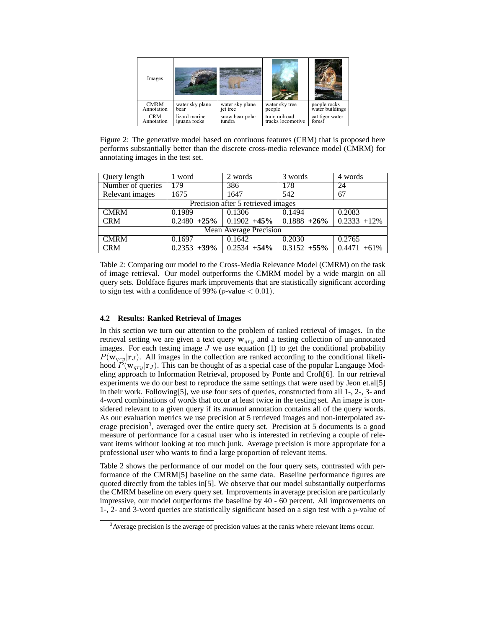| Images      |                 |                 |                   |                                 |
|-------------|-----------------|-----------------|-------------------|---------------------------------|
| <b>CMRM</b> | water sky plane | water sky plane | water sky tree    | people rocks<br>water buildings |
| Annotation  | hear            | jet tree        | people            |                                 |
| <b>CRM</b>  | lizard marine   | snow bear polar | train railroad    | cat tiger water                 |
| Annotation  | iguana rocks    | tundra          | tracks locomotive | forest                          |

Figure 2: The generative model based on contiuous features (CRM) that is proposed here performs substantially better than the discrete cross-media relevance model (CMRM) for annotating images in the test set.

| Query length                       | word   | 2 words                                | 3 words         | 4 words         |  |  |  |
|------------------------------------|--------|----------------------------------------|-----------------|-----------------|--|--|--|
| Number of queries                  | 179    | 386                                    | 178             | 24              |  |  |  |
| Relevant images                    | 1675   | 1647                                   | 542             | 67              |  |  |  |
| Precision after 5 retrieved images |        |                                        |                 |                 |  |  |  |
| <b>CMRM</b>                        | 0.1989 | 0.1306                                 | 0.1494          | 0.2083          |  |  |  |
| <b>CRM</b>                         |        | $0.2480 +25\%$ 0.1902 +45% 0.1888 +26% |                 | $0.2333 + 12\%$ |  |  |  |
| <b>Mean Average Precision</b>      |        |                                        |                 |                 |  |  |  |
| <b>CMRM</b>                        | 0.1697 | 0.1642                                 | 0.2030          | 0.2765          |  |  |  |
| <b>CRM</b>                         |        | $0.2353 + 39\%$ 0.2534 + 54\%          | $0.3152 + 55\%$ | $0.4471 + 61\%$ |  |  |  |

Table 2: Comparing our model to the Cross-Media Relevance Model (CMRM) on the task of image retrieval. Our model outperforms the CMRM model by a wide margin on all query sets. Boldface figures mark improvements that are statistically significant according to sign test with a confidence of 99% (*p*-value  $< 0.01$ ).

# **4.2 Results: Ranked Retrieval of Images**

In this section we turn our attention to the problem of ranked retrieval of images. In the retrieval setting we are given a text query  $w_{qry}$  and a testing collection of un-annotated images. For each testing image  $J$  we use equation (1) to get the conditional probability  $P(\mathbf{w}_{\text{grav}}|\mathbf{r}_J)$ . All images in the collection are ranked according to the conditional likelihood  $P(\mathbf{w}_{qry}|\mathbf{r}_J)$ . This can be thought of as a special case of the popular Langauge Modeling approach to Information Retrieval, proposed by Ponte and Croft[6]. In our retrieval experiments we do our best to reproduce the same settings that were used by Jeon et.al[5] in their work. Following[5], we use four sets of queries, constructed from all 1-, 2-, 3- and 4-word combinations of words that occur at least twice in the testing set. An image is considered relevant to a given query if its *manual* annotation contains all of the query words. As our evaluation metrics we use precision at 5 retrieved images and non-interpolated average precision<sup>3</sup>, averaged over the entire query set. Precision at 5 documents is a good measure of performance for a casual user who is interested in retrieving a couple of relevant items without looking at too much junk. Average precision is more appropriate for a professional user who wants to find a large proportion of relevant items.

Table 2 shows the performance of our model on the four query sets, contrasted with performance of the CMRM[5] baseline on the same data. Baseline performance figures are quoted directly from the tables in[5]. We observe that our model substantially outperforms the CMRM baseline on every query set. Improvements in average precision are particularly impressive, our model outperforms the baseline by 40 - 60 percent. All improvements on 1-, 2- and 3-word queries are statistically significant based on a sign test with a  $p$ -value of

 $3$  Average precision is the average of precision values at the ranks where relevant items occur.